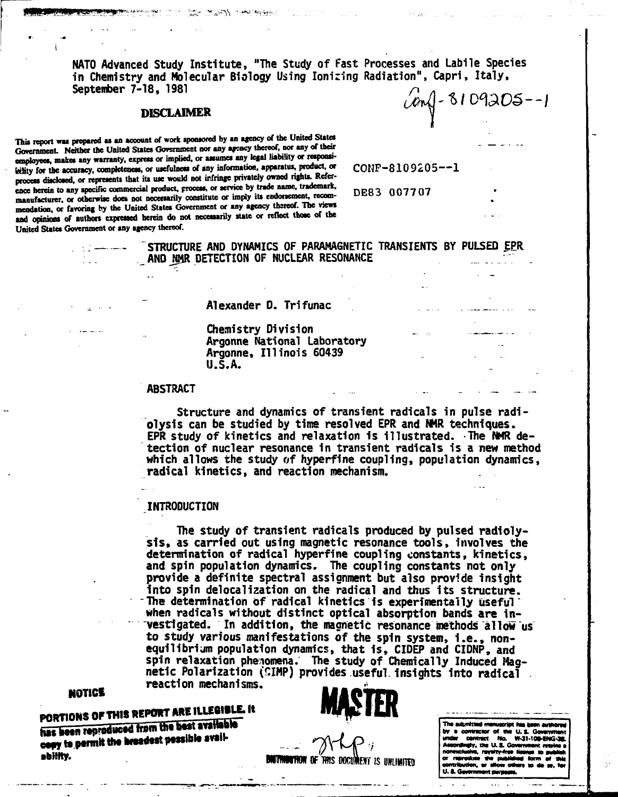NATO Advanced **Study Institute,** "The Study of Fast Processes and Labile Species in Chemistry **and Molecular Biology** Using Ionizing Radiation", Capri, Italy, September 7-18, 1981

**East All Construction** 

## **DISCLAIMER**

**This report was prepared as an account of work sponsored by an agency of the United States** Government. Neither the United States Government nor any agency thereof, nor any of their **employees, makes any warranty, express or implied, or assumes any legal liability or responsi-KHty** for the accuracy, completeness, or usefulness of any information, apparatus, product, or CONF-8109205--1 process disclosed, or represents that its use would not infringe privately owned rights. Reference herein to any specific commercial product, process, or service by trade name, trademark, DER 3 007707 manufacturer, or otherwise does not necessarily constitute or imply its endorsement, recom**mendation or favoring by the United States Government or any agency thereof. The wews** and opinions of authors expressed herein do not necessarily state or reflect those of the **United States Government or any agency thereof.**

STRUCTURE AND DYNAMICS OF PARAMAGNETIC TRANSIENTS BY PULSED EPR. . AND NMR DETECTION OF NUCLEAR RESONANCE

**Alexander D. Trifunac**

**Chemistry Division Argonne National Laboratory Argonne, Illinois 60439 U.S.A.**

#### **ABSTRACT**

**Structure and dynamics of transient radicals in pulse radiolysis can be studied by time resolved EPR and NMR techniques. EPR study of kinetics and relaxation is illustrated. The NMR detection of nuclear resonance in transient radicals is a new method which allows the study of hyperfine coupling, population dynamics, radical kinetics, and reaction mechanism.**

## **INTRODUCTION**

**The study of transient radicals produced by pulsed radiolysis, as carried out using magnetic resonance tools, involves the determination of radical hyperfine coupling constants, kinetics, and spin population dynamics. The coupling constants not only provide a definite spectral assignment but also provide insight into spin delocalization on the radical and thus its structure.** The determination of radical kinetics is experimentally useful **when radicals without distinct optical absorption bands are investigated. In addition, the magnetic resonance methods allow us to study various manifestations of the spin system, i.e., nonequilibrijm population dynamics, that is, CIDEP and CIDNP, and spin relaxation phenomena. The study of Chemically Induced Magnetic Polarization (SIMP) provides useful, insights into radical reaction mechanisms.**

## **NOTIC E**

# PORTIONS OF THIS REPORT ARE ILLEGIBLE. It

reproduced copy to permit the breadest possible avail-**•**



*OF* **THIS DOCUMENT IS UNLIMITED** 

**Th» mtanitwd n—uiulpt Im tmn mworn** by a contractor of the U.S. Government **W-31-108-I »dil . ttwUS. GowTMtmmma or rapradue\* « • pytlMirt torn at . sr aNoM txMn ID d\* •», far U. S. Gevernment part**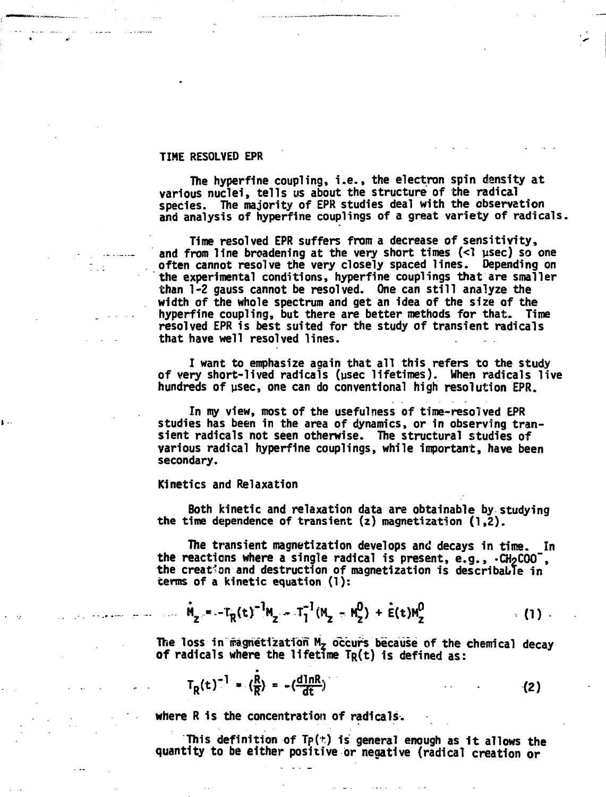## **TIME RESOLVED EPR**

**The hyperfine coupling, i.e., the electron spin density at various nuclei, tells us about the structure of the radical species. The majority of EPR studies deal with the observation and analysis of hyperfine couplings of a great variety of radicals.**

**Time resolved EPR suffers from a decrease of sensitivity, and from line broadening at the very short times (<1 ysec) so one often cannot resolve the yery closely spaced lines. Depending on the experimental conditions, hyperfine couplings that are smaller than 1-2 gauss cannot be resolved. One can still analyze the width of the whole spectrum and get an Idea of the size of the hyperfine coupling, but there are better methods for that. Time resolved EPR is best suited for the study of transient radicals that have well resolved lines. .**

**I want to emphasize again that all this refers to the study of very short-lived radicals (usec lifetimes). When radicals live hundreds of usec, one can do conventional high resolution EPR.**

**In my view, most of the usefulness of time-resolved EPR studies has been in the area of dynamics, or in observing transient radicals not seen otherwise. The structural studies of various radical hyperfine couplings, while important, have been secondary.**

**Kinetics and Relaxation**

t.

**Both kinetic and relaxation data are obtainable by studying the time dependence of transient (z) magnetization (1,2).**

**The transient magnetization develops and decays in time. In** the reactions where a single radical is present, e.g., . CH<sub>2</sub>COO<sup>-</sup>, **the creation and destruction of magnetization is describabte in terms of a kinetic equation (1):**

$$
\dot{M}_{z} = -T_{R}(t)^{-1}M_{z} - T_{1}^{-1}(M_{z} - M_{z}^{0}) + \dot{E}(t)M_{z}^{0}
$$
 (1)

**The loss in magnetization Mz o"ccurs because of the chemical decay of radicals where the lifetime Tp(t) is defined as:**

$$
\Gamma_R(t)^{-1} = \left(\frac{R}{R}\right) = -\left(\frac{d \ln R}{dt}\right) \tag{2}
$$

**where R is the concentration of radicals.**

**This definition of Tp(t) is general enough as it allows the quantity to be either positive or negative (radical creation or**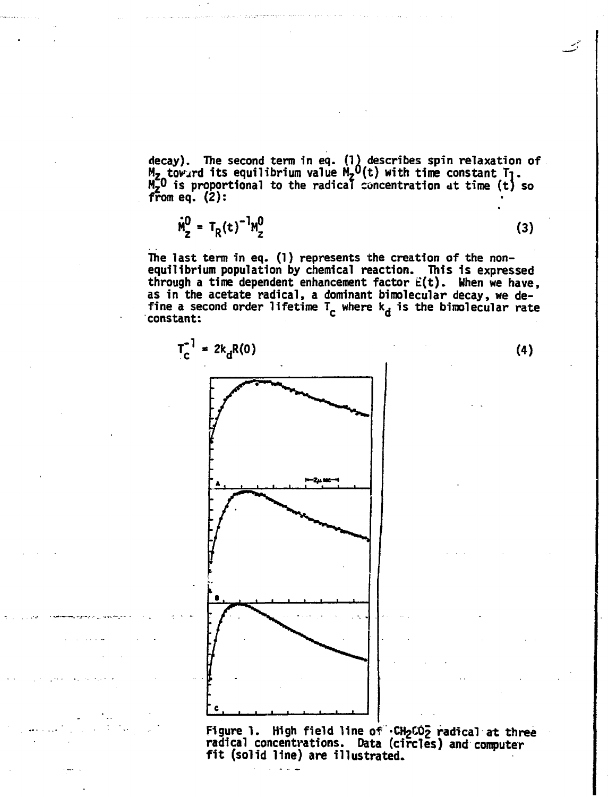**decay). The second term in eq. (1) describes spin relaxation of M2 toward its equilibrium value M?°(t) with time constant Ti. M<sub>Z</sub><sup>U</sup> is proportional to the radical concentration at time (t) so<br>figan on (2): from eq. (2):**

$$
\dot{M}_z^0 = T_R(t)^{-1} M_z^0
$$
 (3)

**The last term in eq. (1) represents the creation of the nonequilibrium population by chemical reaction. This is expressed through a time dependent enhancement factor Eft). When we have, as in the acetate radical, a dominant bimolecular decay, we de**fine a second order lifetime  $T_c$  where  $k_d$  is the bimolecular rate **constant:**



Figure 1. High field line of  $·$ CH<sub>2</sub>CO<sub>2</sub> radical at three **radical concentrations. Data (circles) and computer fit (solid line) are illustrated.**

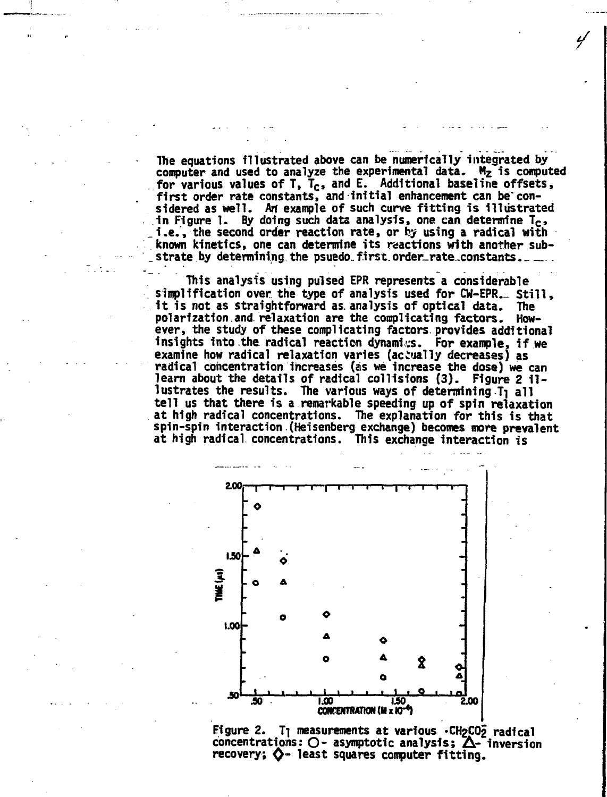**The equations illustrated above can be numerically integrated by computer and used to analyze the experimental data. Mz is computed for various values of T, Tc, and E. Additional baseline offsets,** first order rate constants, and initial enhancement can be con**sidered as well. M example of such curve fitting is Illustrated in Figure 1. By doing such data analysis, one can determine T<sup>c</sup> , .I.e., the second order reaction rate, or by using a radical with known kinetics, one can determine its reactions with another substrate by determining the psuedo.fi rst.order\_rate\_constants.**

**This analysis using pulsed EPR represents a considerable simplification over the type of analysis used for CW-EPR.\_ Still, It is not as straightforward as. analysis of optical data. The polarization.and relaxation are the complicating factors. However, the study of these complicating factors, provides additional insights into the radical reaction dynamics. For example, if we examine how radical relaxation varies (actually decreases) as radical concentration increases (as we increase the dose) we can learn about the details of radical collisions (3). Figure 2 il**lustrates the results. The various ways of determining T<sub>1</sub> all **tell us that there is a remarkable speeding up of spin relaxation at high radical concentrations. The explanation for this 1s that spin-spin interaction.(Heisenberg exchange) becomes more prevalent at high radical concentrations. This exchange interaction is**



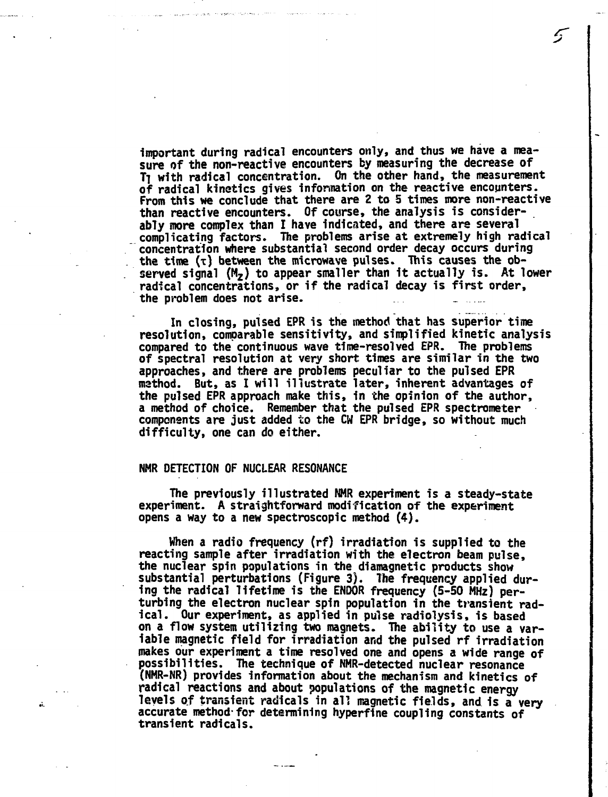**Important during radical encounters only, and thus we have a measure of the non-reactive encounters by measuring the decrease of Tj with radical concentration. On the other hand, the measurement of radical kinetics gives information on the reactive encounters. From this we conclude that there are 2 to 5 times more non-reactive than reactive encounters. Of course, the analysis is considerably more complex than I have indicated, and there are several complicating factors. The problems arise at extremely high radical concentration where substantial second order decay occurs during the time (x) between the microwave pulses. This causes the observed signal (M2) to appear smaller than it actually is. At lower radical concentrations, or if the radical decay is first order, the problem does not arise.**

**In closing, pulsed EPR is the method that has superior time resolution, comparable sensitivity, and simplified kinetic analysis compared to the continuous wave time-resolved EPR. The problems of spectral resolution at very short times are similar in the two approaches, and there are problems peculiar to the pulsed EPR msthod. But, as I will illustrate later, inherent advantages of the pulsed EPR approach make this, in the opinion of the author, a method of choice. Remember that the pulsed EPR spectrometer components are just added to the CM EPR bridge, so without much difficulty, one can do either.**

## **NMR DETECTION OF NUCLEAR RESONANCE**

**The previously illustrated NMR experiment is a steady-state experiment. A straightforward modification of the experiment opens a way to a new spectroscopic method (4).**

**When a radio frequency (rf) irradiation is supplied to the reacting sample after irradiation with the electron beam pulse, the nuclear spin populations in the diamagnetic products show substantial perturbations (Figure 3). The frequency applied during the radical lifetime is the ENDOR frequency (5-50 MHz) perturbing the electron nuclear spin population in the transient radical. Our experiment, as applied in pulse radiolysis, is based on a flow system utilizing two magnets. The ability to use a variable magnetic field for irradiation and the pulsed rf irradiation makes our experiment a time resolved one and opens a wide range of possibilities. The technique of NMR-detected nuclear resonance (NMR-NR) provides information about the mechanism and kinetics of radical reactions and about populations of the magnetic energy levels of transient radicals in all magnetic fields, and is a very accurate method-for determining hyperfine coupling constants of transient radicals.**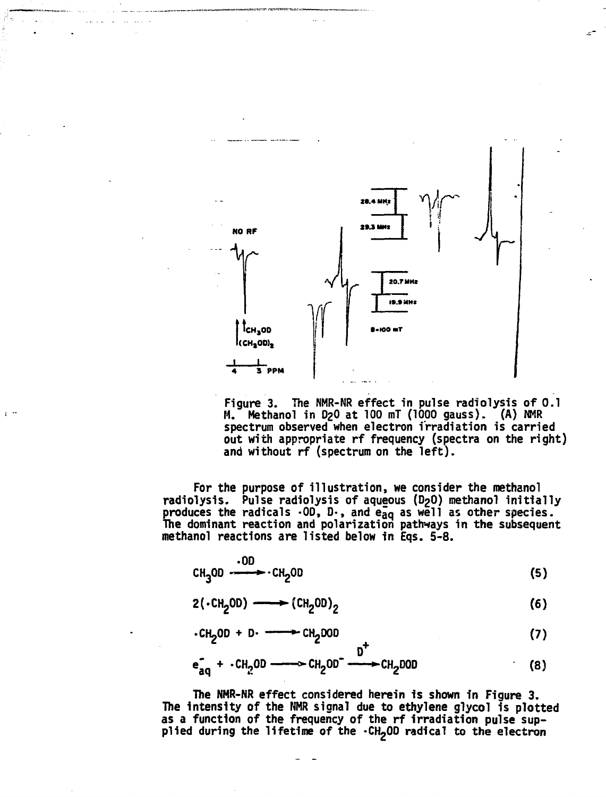

Figure 3. The NMR-NR effect in pulse radiolysis of 0.1 **M. Methanol in O2O at 100 mT (1000 gauss). (A) NMR spectrum observed when electron irradiation is carried out with appropriate rf frequency (spectra on the right) and without r f (spectrum on the left) .**

**For the purpose of illustration , we consider the methanol radiolysis . Pulse radiolysis of aqueous (D2O) methanol initiall y** produces the radicals  $\cdot$  OD, D $\cdot$ , and e<sub>ag</sub> as well as other species. **The dominant reaction and polarization pathways i n the subsequent** methanol reactions are listed below in Eqs. 5-8.

$$
CH30D
$$
  $\longrightarrow$   $CH20D$  (5)

$$
2(\cdot \text{CH}_2\text{OD}) \longrightarrow (\text{CH}_2\text{OD})_2 \tag{6}
$$

**+ D- - CH-DOD (7)**

$$
e_{aq}^- + .CH_20D \longrightarrow CH_20D^-\longrightarrow CH_200D
$$
 (8)

The NMR-NR effect considered herein is shown in Figure 3. The intensity of the NMR signal due to ethylene glycol is plotted as a function of the frequency of the rf irradiation pulse supplied during the lifetime of the  $\cdot$ CH<sub>2</sub>0D radical to the electron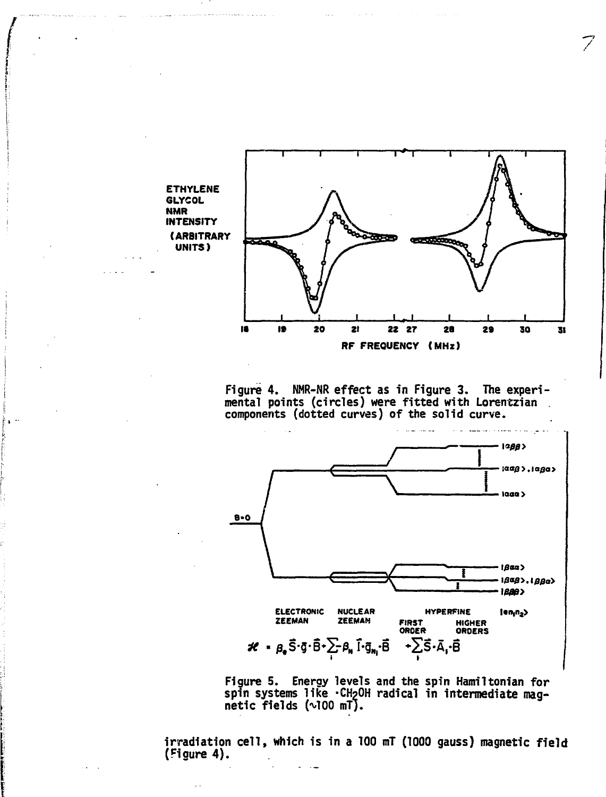

**Figure 4. NMR-NR effect as in Figure 3. The experimental points (circles) were fitted with Lorentzian . components (dotted curves) of the solid curve.**



**Figure 5. Energy levels and the spin Hamiltonian for** spin systems like CH<sub>2</sub>OH radical in intermediate mag**netic fields (MOO mT).**

**irradiation cell, which is in a 100 mT (1000 gauss) magnetic field (Figure 4) .**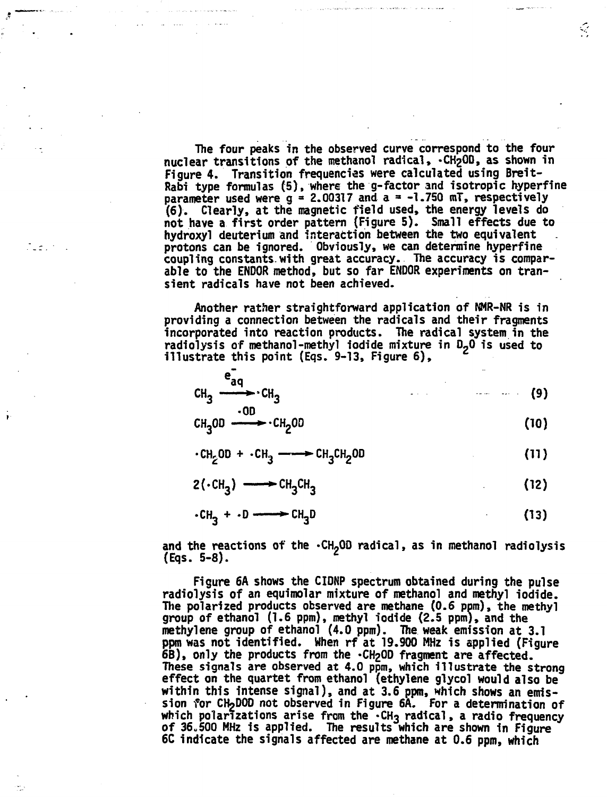**The four peaks in the observed curve correspond to the four nuclear transitions of the methanol radical, -C^OD, as shown in Figure 4. Transition frequencies were calculated using Breit-Rabi type formulas (5), where the g-factor and isotropic hyperfine parameter used were g • 2.00317 and a = -1.750 mT, respectively (6). Clearly, at the magnetic field used, the energy levels do not have a first order pattern {Figure 5). Small effects due to hydroxyl deuterium and interaction between the two equivalent protons can be ignored. Obviously, we can determine hyperfine coupling constants.with great accuracy. The accuracy is comparable to the ENDOR method, but so far ENDOR experiments on transient radicals have not been achieved.**

Justini

**Another rather straightforward application of NMR-NR is in providing a connection between the radicals and their fragments incorporated into reaction products. The radical system in the** radiolysis of methanol-methyl iodide mixture in D<sub>2</sub>0 is used to **illustrate this point (Eqs. 9-13, Figure 6) ,**

| $e_{aq}$<br>$CH3$ $-H3$ | the contract of the contract of |  |  |
|-------------------------|---------------------------------|--|--|
| . nn                    |                                 |  |  |

$$
CH3OD \xrightarrow{CO} \cdot CH2OD
$$
 (10)

$$
-CH2OD + -CH3 \longrightarrow CH3CH2OD
$$
 (11)

$$
2(\cdot \text{CH}_3) \longrightarrow \text{CH}_3\text{CH}_3 \tag{12}
$$

$$
-CH_3 + -D \longrightarrow CH_3D \tag{13}
$$

**and the reactions of the »CH9OD radical, as in methanol radiolysis c (Eqs. 5-8).**

**Figure 6A shows the CIDNP spectrum obtained during the pulse radiolysis of an equimolar mixture of methanol and methyl iodide. The polarized products observed are methane (0.6 pom), the methyl group of ethanol (1.6 ppm), methyl iodide (2.5 ppm), and the methylene group of ethanol (4.0 ppm}. The weak emission at 3.1 ppm was not identified. When rf at 19.900 MHz is applied (Figure** 6B), only the products from the **CH<sub>2</sub>OD fragment are affected**. **These signals are observed at 4.0 ppm, which illustrate the strong effect on the quartet from ethanol (ethylene glycol would also be within this intense signal), and at 3.6 ppm, which shows an emission for CHgDOO not observed in Figure 6A. For a determination of which polarizations arise from the -C ^ radical, a radio frequency of 36.500 MHz is applied. The results which are shown in Figure 6C indicate the signals affected are methane at 0.6 ppm, which**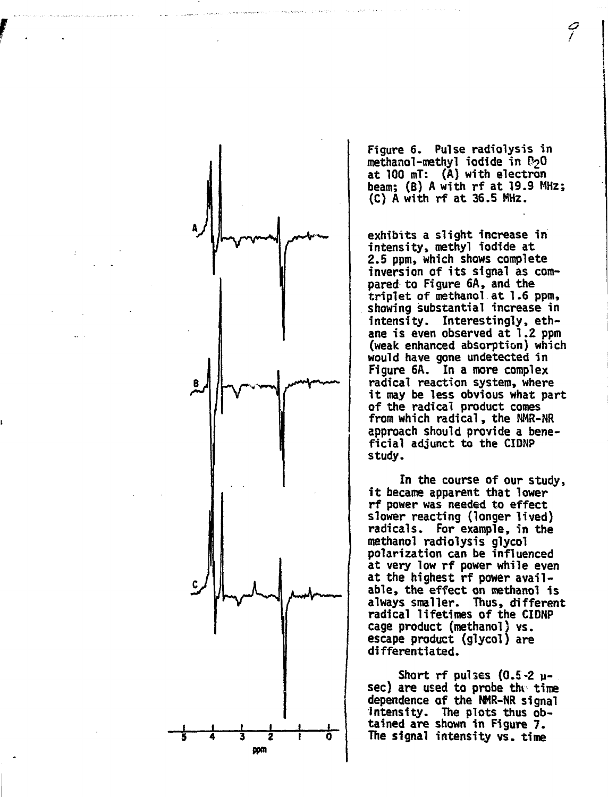

**r**

**Figur e 6 . Puls e radiolysi s i n methanol-methy l iodid e i n 02 ° a t 10 0 mT : (A ) wit h electro n beam ; (B ) A wit h r f a t 19. 9 MHz ; (C ) A wit h r f a t 36. 5 MHz .**

**exhibit s a sligh t increas e i n intensity , methy l iodid e a t 2. 5 ppm , whic h show s complet e inversio n o f it s signa l a s com pare d t o Figur e 6A , an d th e** triplet of methanol at 1.6 ppm, **showin g substantia l increas e i n intensity . Interestingly , eth an e i s eve n observe d a t 1. 2 ppm (wea k enhance d absorption ) whic h woul d hav e gon e undetecte d i n Figur e 6A . I n a mor e comple x radica l reactio n system , wher e i t ma y b e les s obviou s wha t par t o f th e radica l produc t come s from whic h radical , th e NMR-NR approac h shoul d provid e a bene ficia l adjunc t t o th e CIDN P study**

**.I n th e cours e o f ou r study , i t becam e apparen t tha t lowe r r f powe r wa s neede d t o effec t slowe r reactin g (longe r lived ) radicals . Fo r example , i n th e methano l radiolysi s glyco l polarizatio n ca n b e influence d a t ver y low r f powe r whil e eve n a t th e highes t r f powe r avail able , th e effec t o n methano l i s alway s smaller . Thus , differen t radica l lifetime s o f th e CIDN P cag e produc t (methanol ) vs . escape product (glycol) are differentiated .**

**Shor t r f pulse s (0.5- 2 u sec ) ar e use d t o prob e tht tim e dependenc e o f th e NMR-NR signa l intensity . Th e plot s thu s ob taine d ar e shown i n Figur e 7 . Th e signa l intensit y vs . tim e**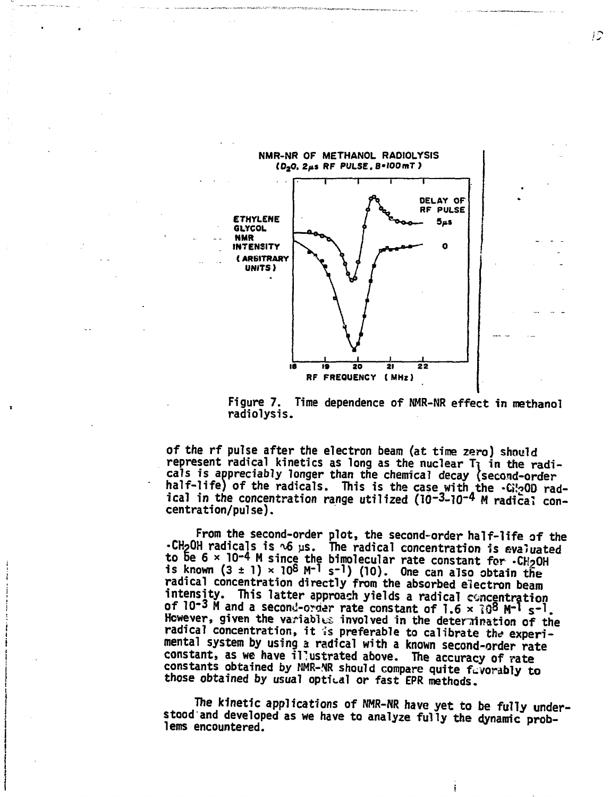

**Figure 7. Time dependence of NMR-NR effect in methanol radiolysis.**

**of the rf pulse after the electron beam (at time zero) should** represent radical kinetics as long as the nuclear T<sub>i</sub> in the radi**cals is appreciably longer than the chemical decay {second-order half-life) of the radicals. This is the case with the •Ci!oOD rad**ical in the concentration range utilized (10-3-10<sup>-4</sup> M radical con**centration/pulse).**

**From the second-order plot, the second-order half-life of the •CHgOH radicals is ^6 ys. The radical concentration is evaluated to Be 6 x 10-4 M since the bimolecular rate constant for -CH?OH** is known  $(3 \pm 1) \times 10^8$  M<sup>-1</sup> s<sup>-1</sup>) (10). One can also obtain the **radical concentration directly from the absorbed electron beam intensity.** This latter approach yields a radical concentration of  $10^{-3}$  M and a second-order rate constant of  $1.6 \times 10^8$  M<sup>-1</sup> s<sup>-1</sup>. However, given the variables involved in the determination of the radical concentration, it is preferable to calibrate the experi**mental system by using a radical with a known second-order rate constant, as we have illustrated above. The accuracy of rate constants obtained** *by* **NMR-NR should compare quite favorably to those obtained by usual optical or fast EPR methods.**

**The kinetic applications of NMR-NR have yet to be fully understood and developed as we have to analyze fully the dynamic problems encountered.**

ī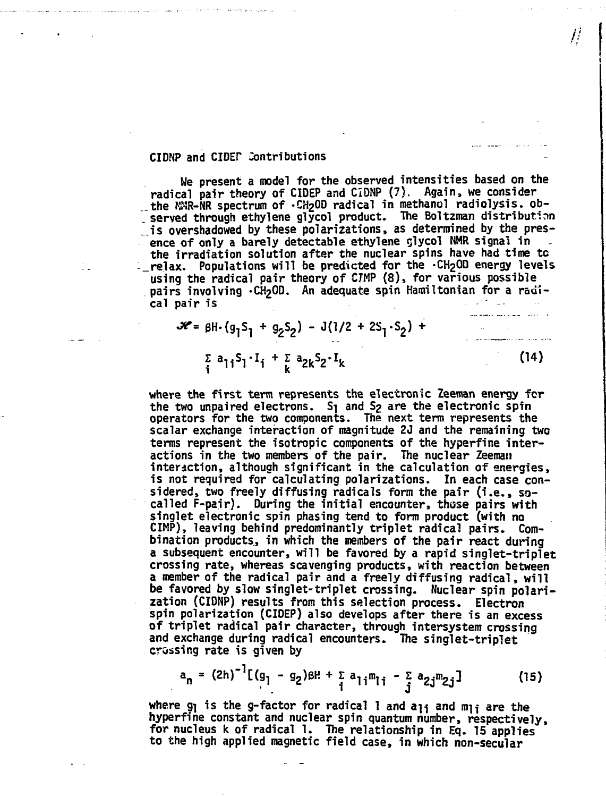## **CIDNP and CIDEF Contributions**

**We present a model for the observed intensities based on the radical pair theory of CIDEP and CIDNP (7). Again, we consider** the NMR-NR spectrum of · CH<sub>2</sub>OD radical in methanol radiolysis. ob**served through ethylene glycol product. The Boltzman distribution is overshadowed by these polarizations, as determined by the presence of only a barely detectable ethylene glycol NMR signal in the irradiation solution after the nuclear spins have had time tc relax. Populations will be predicted for the -CI^OD energy levels using the radical pair theory of C7MP (8), for various possible pairs involving -CH<sub>2</sub>OD. An adequate spin Hamiltonian for a radical pair is .\_•.... .**

B

<u>alian di mandatan di ka</u>

$$
\mathcal{H} = \beta H \cdot (g_1 S_1 + g_2 S_2) - J(1/2 + 2S_1 \cdot S_2) +
$$
  
\n
$$
\sum_{i} a_{1i} S_1 \cdot I_i + \sum_{k} a_{2k} S_2 \cdot I_k
$$
 (14)

**where the first term represents the electronic Zeeman energy for the two unpaired electrons. Sj and S2 are the electronic spin operators for the two components. The next term represents the scalar exchange interaction of magnitude 2J and the remaining two terms represent the isotropic components of the hyperfine interactions in the two members of the pair. The nuclear Zeemati interaction, although significant in the calculation of energies, is not required for calculating polarizations. In each case considered, two freely diffusing radicals form the pair (i.e., socalled F-pair). During the initial encounter, those pairs with singlet electronic spin phasing tend to form product (with no CIMP), leaving behind predominantly triplet radical pairs. Combination products, in which the members of the pair react during a subsequent encounter, will be favored by a rapid singlet-triplet crossing rate, whereas scavenging products, with reaction between a member of the radical pair and a freely diffusing radical, will be favored by slow singlet-triplet crossing. Nuclear spin polarization (CIDNP) results from this selection process. Electron spin polarization (CIDEP) also develops after there is an excess of triplet radical pair character, through intersystem crossing and exchange during radical encounters. The singlet-triplet crossing rate is given by**

$$
a_n = (2h)^{-1}[(g_1 - g_2)8H + \sum_i a_{1i}m_{1i} - \sum_i a_{2j}m_{2j}] \qquad (15)
$$

where g<sub>1</sub> is the g-factor for radical 1 and a<sub>1i</sub> and m<sub>1i</sub> are the **hyperfine constant and nuclear spin quantum number, respectively, for nucleus k of radical 1. The relationship in Eq. 15 applies to the high applied magnetic field case, in which non-secular**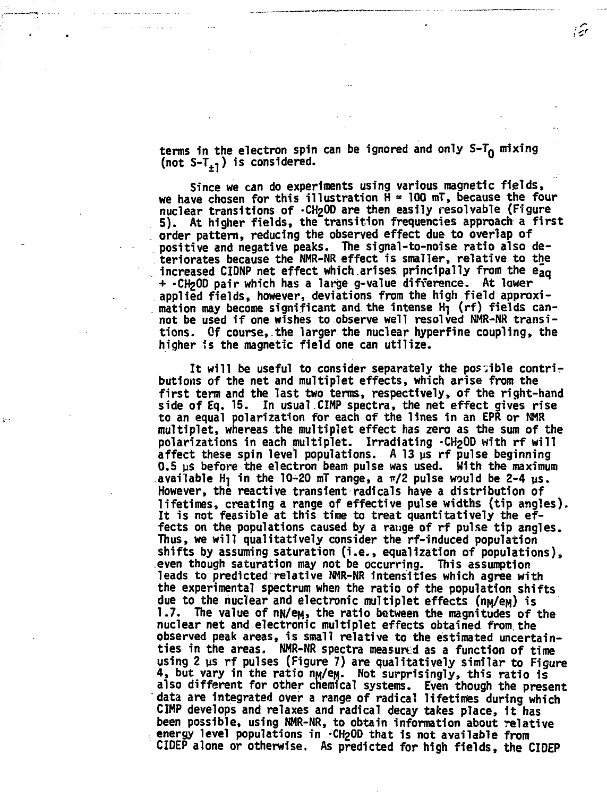**terms in the electron spin can be ignored and only S-TQ mixing (not S-T+1) is considered.**

ومنونه

**Since we can do experiments using various magnetic fields, we have chosen for this illustration H = 100 mT, because the four** nuclear transitions of  $\cdot$ CH<sub>2</sub>OD are then easily resolvable (Figure **5). At higher fields, the transition frequencies approach a first order pattern, reducing the observed effect due to overlap of . positive and negative peaks. The signal-to-noise ratio also deteriorates because the NMR-NR effect is smaller, relative to the increased CIDNP net effect which.arises principally from the eaq + -CH20D pair which has a large g-value difference. At lower applied fields, however, deviations from the high field approxi**mation may become significant and the intense H<sub>1</sub> (rf) fields can**not be used i f one wishes to observe well resolved NMR-NR transitions. Of course, the larger the nuclear hyperfine coupling, the higher is the magnetic field one can utilize.**

It will be useful to consider separately the possible contri**butions of the net and multiplet effects, which arise from the first term and the last two terms, respectively, of the right-hand side of Eq. 15. In usual CIMP spectra, the net effect gives rise to an equal polarization for each of the lines in an EPR or NMR multiplet, whereas the multiplet effect has zero as the sum of the polarizations in each multiplet. Irradiating -CI^OD with rf will affect these spin level populations. A 13 us rf pulse beginning 0.5 us before the electron beam pulse was used. With the maximum** available H<sub>1</sub> in the 10-20 mT range, a  $\pi/2$  pulse would be 2-4  $\mu$ s. **However, the reactive transient radicals have a distribution of lifetimes, creating a range of effective pulse widths (tip angles). It is not feasible at this time to treat quantitatively the effects on the populations caused by a range of rf pulse tip angles. Thus, we will qualitatively consider the rf-induced population shifts by assuming saturation (i.e. , equalization of populations), even though saturation may not be occurring. This assumption leads to predicted relative NMR-NR intensities which agree with the experimental spectrum when the ratio of the population shifts due to the nuclear and electronic multiplet effects (n^/eM) is 1.7. The value of nN/enj, the ratio between the magnitudes of the nuclear net and electronic multiplet effects obtained from.the observed peak areas, is small relative to the estimated uncertainties in the areas. NMR-NR spectra measured as a function of time using 2 us rf pulses (Figure 7) are qualitatively similar to Figure 4, but vary in the ratio nu/en. Not surprisingly, this ratio is also different for other chemical systems. Even though the present data are integrated over a range of radical lifetimes during which CIMP develops and relaxes and radical decay takes place, i t has been possible, using NMR-NR, to obtain information about relative energy level populations in -CI^OD that is not available from CIOEP alone or otherwise, As predicted for high fields, the CIDEP**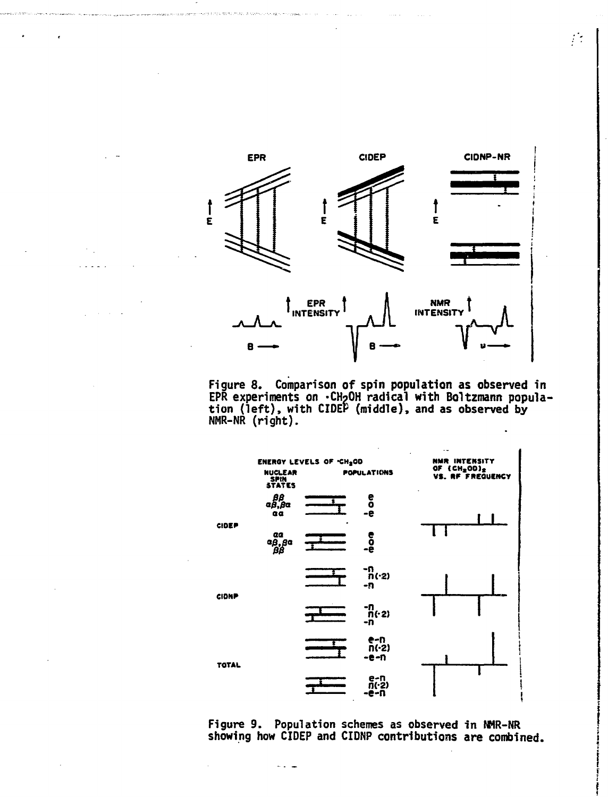

**Figure 8. Comparison of spin population as observed in EPR experiments on -CHpOH radical with Boltzmarm population (left) , with CIOEP (middle), and as observed by NMR-NR (right).**





 $\frac{1}{2}$  .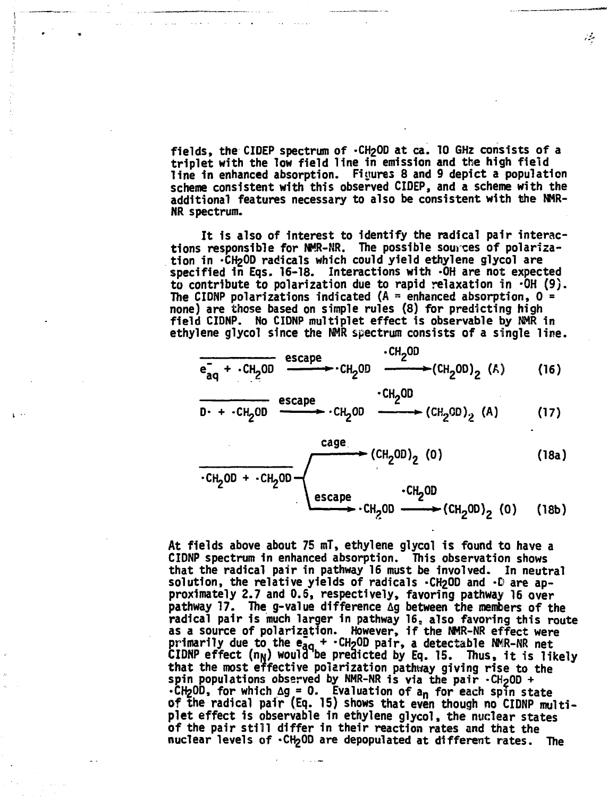**fields, the CIDEP spectrum of -C^OD at ca. 10 GHz consists of a triplet with the low field line in emission and the high field line In enhanced absorption. Figures 8 and 9 depict a population scheme consistent with this observed CIDEP, and a scheme with the additional features necessary to also be consistent with the NMR-NR spectrum.**

**It is also of interest to identify the radical pair interactions responsible for NMR-NR. The possible sources of polarization in -Ch^OD radicals which could yield ethylene glycol are specified in Eqs. 16-18. Interactions with -OH are not expected to contribute to polarization due to rapid relaxation in -OH (9).** The CIDNP polarizations indicated  $(A =$  enhanced absorption,  $0 =$ **none) are those based on simple rules (8) for predicting high field CIDNP. No CIDNP multiplet effect is observable by NMR in ethylene glycol since the NMR spectrum consists of a single line.**

$$
e_{aq}^- + .CH_20D \xrightarrow{escape} CH_20D \xrightarrow{CH_20D} (CH_20D)_2 (A) \qquad (16)
$$

$$
\overline{D \cdot + \cdot C H_2 OD} \xrightarrow{escape} \cdot CH_2 OD \xrightarrow{C H_2 OD} (CH_2 OD)_2 (A) \tag{17}
$$

$$
\frac{\text{cage}}{\text{cH}_2\text{OD} + \text{cH}_2\text{OD}} \quad \text{(CH}_2\text{OD})_2 \quad (0)
$$
 (18a)  
escape  
•
$$
\text{cH}_2\text{OD}
$$
 (18b)

**At fields above about 75 mT, ethylene glycol is found to have a CIDNP spectrum in enhanced absorption. This observation shows that the radical pair in pathway 16 must be involved. In neutral** solution, the relative yields of radicals  $\cdot$ CH<sub>2</sub>OD and  $\cdot$ D are ap**proximately 2.7 and 0.5, respectively, favoring pathway 16 over pathway 17. The g-value difference Ag between the members of the** radical pair is much larger in pathway 16<sub>2</sub> also favoring this route **as a source of polarization. However, if the NMR-NR effect were primarily due to the elq + -CHgOD pair, a detectable NMR-NR net CIDNP effect (nw) would be predicted by Eq. 15. Thus, it is likely that the most effective polarization pathway giving rise to the spin populations observed by NMR-NR is via the pair -CHoOD +**  $\cdot$ CH<sub>2</sub>OD, for which  $\Delta g = 0$ . Evaluation of  $a_n$  for each spin state **of the radical pair (Eq. 15) shows that even though no CIDNP multiplet effect is observable in ethylene glycol, the nuclear states of the pair still differ in their reaction rates and that the nuclear levels of -C^OD are depopulated at different rates. The**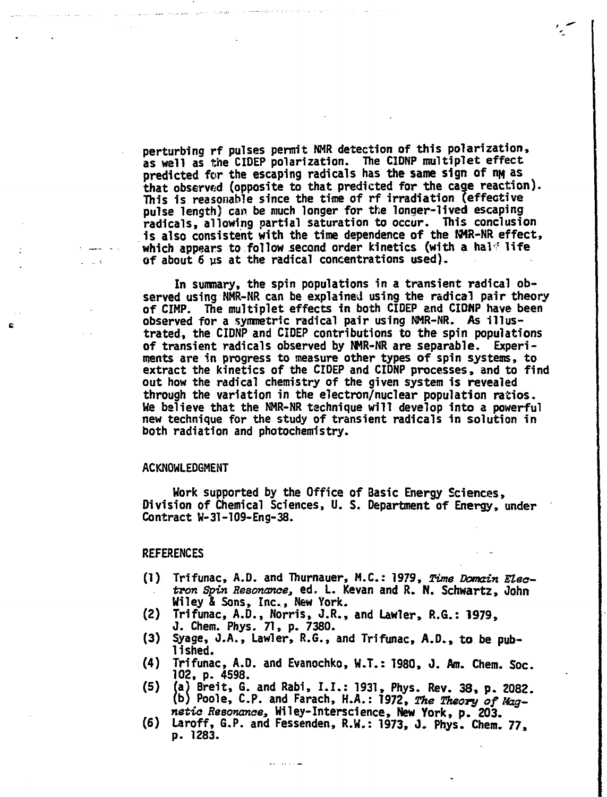**perturbing rf pulses permit NMR detection of this polarization, as well as the CIOEP polarization. The CIDNP multiplet effect predicted for the escaping radicals has the same sign of m as** that observed (opposite to that predicted for the cage reaction). **This is reasonable since the time of rf irradiation (effective pulse length) can be much longer for the longer-lived escaping radicals, allowing partial saturation to occur. This conclusion is also consistent with the time dependence of the fMR-NR effect,** which appears to follow second order kinetics (with a hal<sup>4</sup> life **of about 6 ys at the radical concentrations used).**

**In summary, the spin populations in a transient radical observed using NMR-NR can be explained using the radical pair theory of CIMP. The multiplet effects in both CIDEP and CIDNP have been observed for a symmetric radical pair using NMR-NR. As illustrated, the CIDNP and CIOEP contributions to the spin populations of transient radicals observed by NMR-NR are separable. Experiments are in progress to measure other types of spin systems, to extract the kinetics of the CIDEP and CIDNP processes, and to find out how the radical chemistry of the given system is revealed through the variation in the electron/nuclear population ratios. We believe that the NMR-NR technique will develop into a powerful new technique for the study of transient radicals in solution in both radiation and photochemistry.**

#### **ACKNOWLEDGMENT**

**Work supported by the Office of Basic Energy Sciences, Division of Chemical Sciences, U. S. Department of Energy, under Contract W-31-109-Eng-38.**

#### **REFERENCES**

- **(1) Trifunac, A.D. and Thurnauer, M.C.: 1979, Time Domain Electron Spin Resonance; ed. L. Kevan and R. N. Schwartz, John Wiley & Sons, Inc., New York.**
- **(2) Trifunac, A.D., Norris, J.R., and Lawler, R.6.: 1979, J. Chem. Phys. 71, p. 7380.**
- **(3) Syage, J.A., Lawler, R.G., and Trifunac, A.D., to be published.**
- **(4) Trifunac, A.D. and Evanochko, W.T.: 1980, 0. Aro. Chem. Soc. 102, p. 4598.**
- **(5) fa) Breit, G. and Rabi, I.I.: 1931, Phys. Rev. 38, p. 2082. (b) Poole, C.P. and Farach, H.A.: 1972, The Theory of I4agnetia Resonance, Wiley-Interscience, New York, p. 203.**
- **(6) Laroff, G.P. and Fessenden, R.W.: 1973, J. Phys. Chem. 77, p. 1283.**